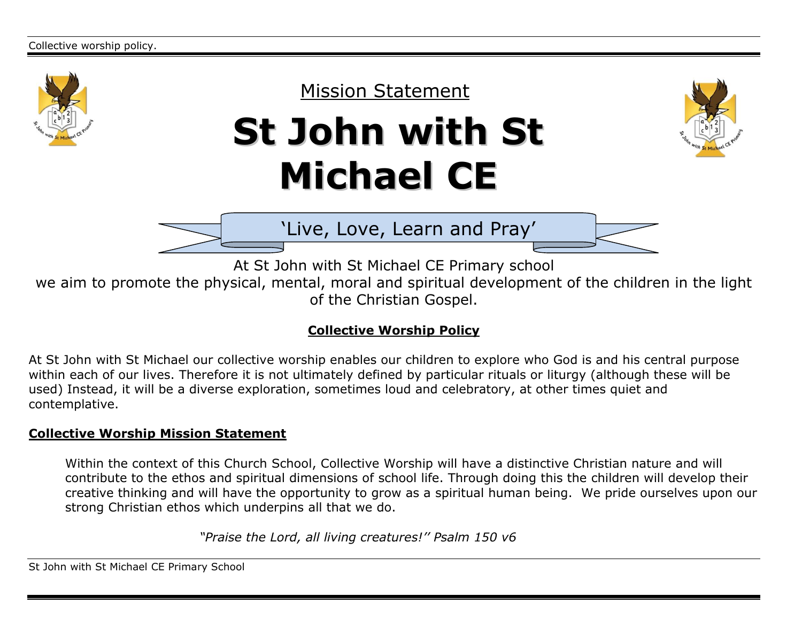



'Live, Love, Learn and Pray'

At St John with St Michael CE Primary school

we aim to promote the physical, mental, moral and spiritual development of the children in the light of the Christian Gospel.

# **Collective Worship Policy**

At St John with St Michael our collective worship enables our children to explore who God is and his central purpose within each of our lives. Therefore it is not ultimately defined by particular rituals or liturgy (although these will be used) Instead, it will be a diverse exploration, sometimes loud and celebratory, at other times quiet and contemplative.

## **Collective Worship Mission Statement**

Within the context of this Church School, Collective Worship will have a distinctive Christian nature and will contribute to the ethos and spiritual dimensions of school life. Through doing this the children will develop their creative thinking and will have the opportunity to grow as a spiritual human being. We pride ourselves upon our strong Christian ethos which underpins all that we do.

 *"Praise the Lord, all living creatures!'' Psalm 150 v6*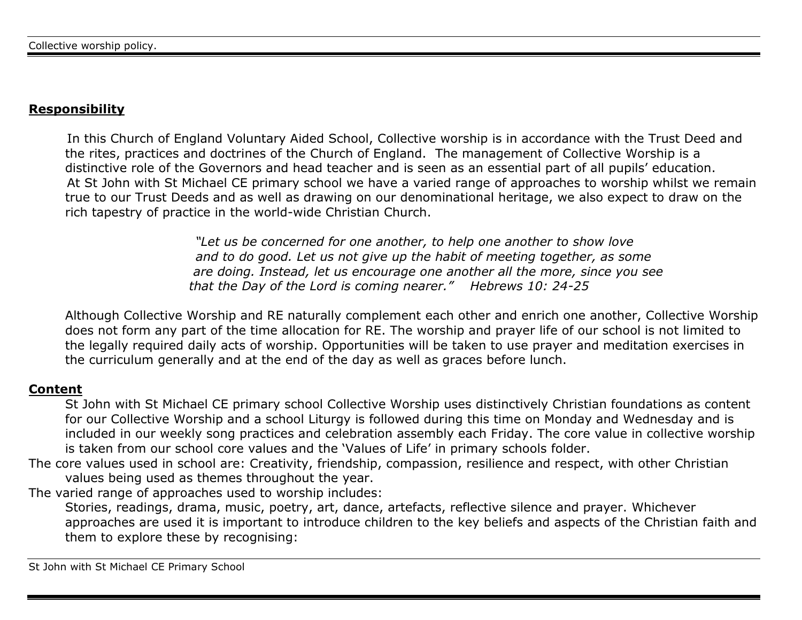# **Responsibility**

 In this Church of England Voluntary Aided School, Collective worship is in accordance with the Trust Deed and the rites, practices and doctrines of the Church of England. The management of Collective Worship is a distinctive role of the Governors and head teacher and is seen as an essential part of all pupils' education. At St John with St Michael CE primary school we have a varied range of approaches to worship whilst we remain true to our Trust Deeds and as well as drawing on our denominational heritage, we also expect to draw on the rich tapestry of practice in the world-wide Christian Church.

> *"Let us be concerned for one another, to help one another to show love and to do good. Let us not give up the habit of meeting together, as some are doing. Instead, let us encourage one another all the more, since you see that the Day of the Lord is coming nearer." Hebrews 10: 24-25*

Although Collective Worship and RE naturally complement each other and enrich one another, Collective Worship does not form any part of the time allocation for RE. The worship and prayer life of our school is not limited to the legally required daily acts of worship. Opportunities will be taken to use prayer and meditation exercises in the curriculum generally and at the end of the day as well as graces before lunch.

## **Content**

St John with St Michael CE primary school Collective Worship uses distinctively Christian foundations as content for our Collective Worship and a school Liturgy is followed during this time on Monday and Wednesday and is included in our weekly song practices and celebration assembly each Friday. The core value in collective worship is taken from our school core values and the 'Values of Life' in primary schools folder.

The core values used in school are: Creativity, friendship, compassion, resilience and respect, with other Christian values being used as themes throughout the year.

The varied range of approaches used to worship includes:

Stories, readings, drama, music, poetry, art, dance, artefacts, reflective silence and prayer. Whichever approaches are used it is important to introduce children to the key beliefs and aspects of the Christian faith and them to explore these by recognising: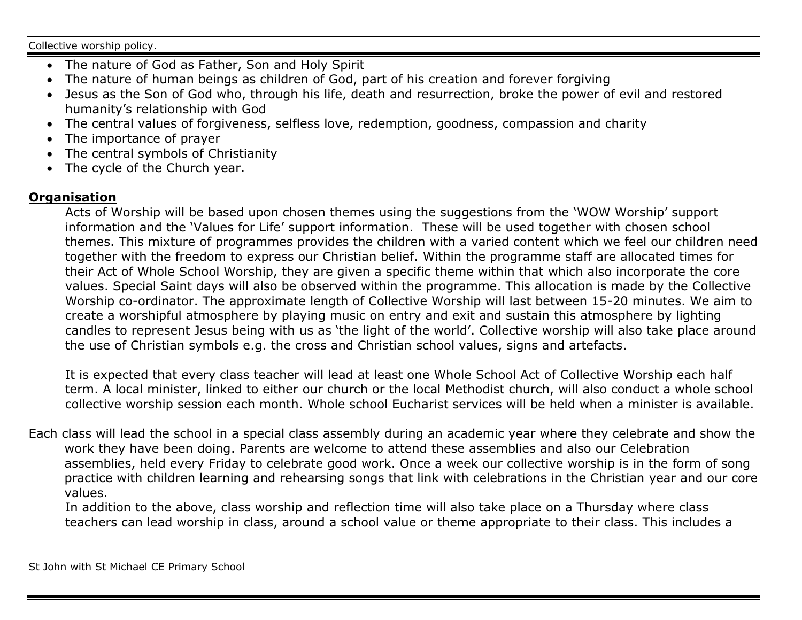Collective worship policy.

- The nature of God as Father, Son and Holy Spirit
- The nature of human beings as children of God, part of his creation and forever forgiving
- Jesus as the Son of God who, through his life, death and resurrection, broke the power of evil and restored humanity's relationship with God
- The central values of forgiveness, selfless love, redemption, goodness, compassion and charity
- The importance of prayer
- The central symbols of Christianity
- The cycle of the Church year.

## **Organisation**

Acts of Worship will be based upon chosen themes using the suggestions from the 'WOW Worship' support information and the 'Values for Life' support information. These will be used together with chosen school themes. This mixture of programmes provides the children with a varied content which we feel our children need together with the freedom to express our Christian belief. Within the programme staff are allocated times for their Act of Whole School Worship, they are given a specific theme within that which also incorporate the core values. Special Saint days will also be observed within the programme. This allocation is made by the Collective Worship co-ordinator. The approximate length of Collective Worship will last between 15-20 minutes. We aim to create a worshipful atmosphere by playing music on entry and exit and sustain this atmosphere by lighting candles to represent Jesus being with us as 'the light of the world'. Collective worship will also take place around the use of Christian symbols e.g. the cross and Christian school values, signs and artefacts.

It is expected that every class teacher will lead at least one Whole School Act of Collective Worship each half term. A local minister, linked to either our church or the local Methodist church, will also conduct a whole school collective worship session each month. Whole school Eucharist services will be held when a minister is available.

Each class will lead the school in a special class assembly during an academic year where they celebrate and show the work they have been doing. Parents are welcome to attend these assemblies and also our Celebration assemblies, held every Friday to celebrate good work. Once a week our collective worship is in the form of song practice with children learning and rehearsing songs that link with celebrations in the Christian year and our core values.

In addition to the above, class worship and reflection time will also take place on a Thursday where class teachers can lead worship in class, around a school value or theme appropriate to their class. This includes a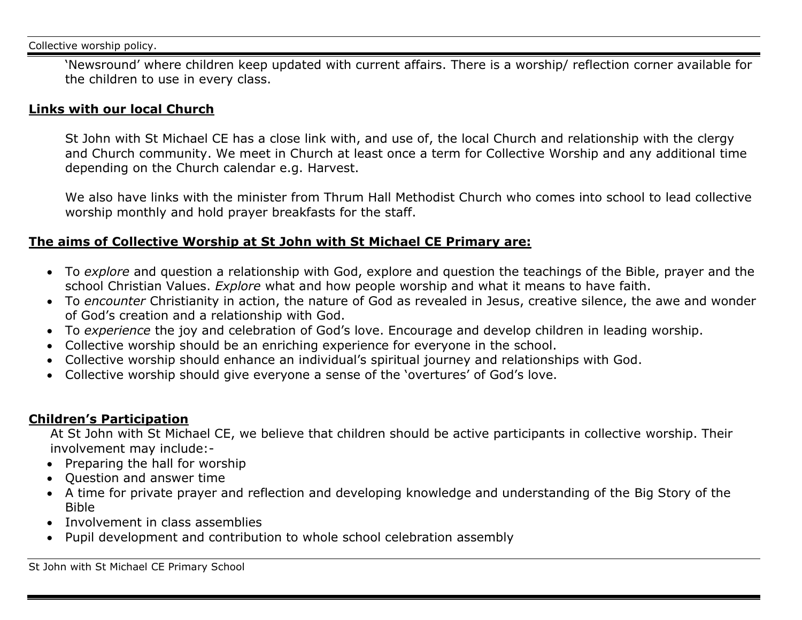'Newsround' where children keep updated with current affairs. There is a worship/ reflection corner available for the children to use in every class.

## **Links with our local Church**

St John with St Michael CE has a close link with, and use of, the local Church and relationship with the clergy and Church community. We meet in Church at least once a term for Collective Worship and any additional time depending on the Church calendar e.g. Harvest.

We also have links with the minister from Thrum Hall Methodist Church who comes into school to lead collective worship monthly and hold prayer breakfasts for the staff.

## **The aims of Collective Worship at St John with St Michael CE Primary are:**

- To *explore* and question a relationship with God, explore and question the teachings of the Bible, prayer and the school Christian Values. *Explore* what and how people worship and what it means to have faith.
- To *encounter* Christianity in action, the nature of God as revealed in Jesus, creative silence, the awe and wonder of God's creation and a relationship with God.
- To *experience* the joy and celebration of God's love. Encourage and develop children in leading worship.
- Collective worship should be an enriching experience for everyone in the school.
- Collective worship should enhance an individual's spiritual journey and relationships with God.
- Collective worship should give everyone a sense of the 'overtures' of God's love.

# **Children's Participation**

At St John with St Michael CE, we believe that children should be active participants in collective worship. Their involvement may include:-

- Preparing the hall for worship
- Question and answer time
- A time for private prayer and reflection and developing knowledge and understanding of the Big Story of the Bible
- Involvement in class assemblies
- Pupil development and contribution to whole school celebration assembly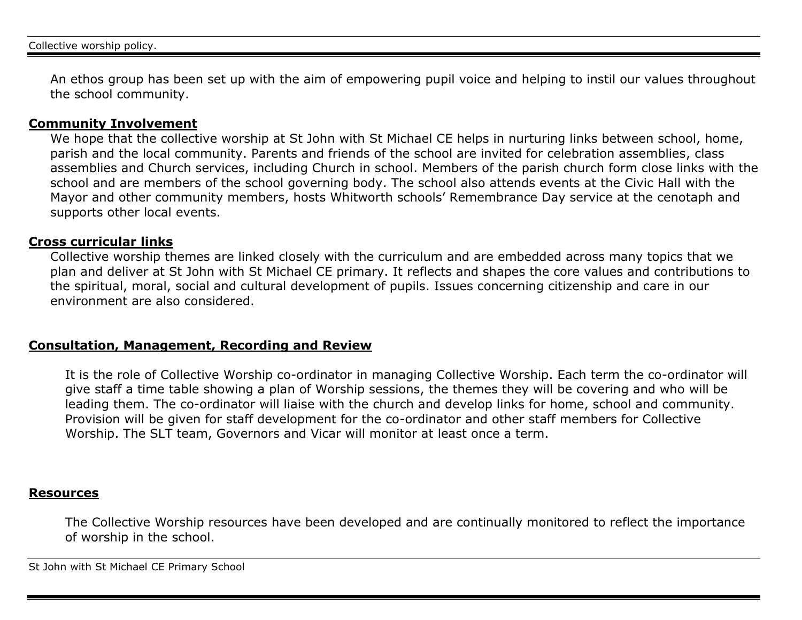An ethos group has been set up with the aim of empowering pupil voice and helping to instil our values throughout the school community.

#### **Community Involvement**

We hope that the collective worship at St John with St Michael CE helps in nurturing links between school, home, parish and the local community. Parents and friends of the school are invited for celebration assemblies, class assemblies and Church services, including Church in school. Members of the parish church form close links with the school and are members of the school governing body. The school also attends events at the Civic Hall with the Mayor and other community members, hosts Whitworth schools' Remembrance Day service at the cenotaph and supports other local events.

#### **Cross curricular links**

Collective worship themes are linked closely with the curriculum and are embedded across many topics that we plan and deliver at St John with St Michael CE primary. It reflects and shapes the core values and contributions to the spiritual, moral, social and cultural development of pupils. Issues concerning citizenship and care in our environment are also considered.

#### **Consultation, Management, Recording and Review**

It is the role of Collective Worship co-ordinator in managing Collective Worship. Each term the co-ordinator will give staff a time table showing a plan of Worship sessions, the themes they will be covering and who will be leading them. The co-ordinator will liaise with the church and develop links for home, school and community. Provision will be given for staff development for the co-ordinator and other staff members for Collective Worship. The SLT team, Governors and Vicar will monitor at least once a term.

#### **Resources**

The Collective Worship resources have been developed and are continually monitored to reflect the importance of worship in the school.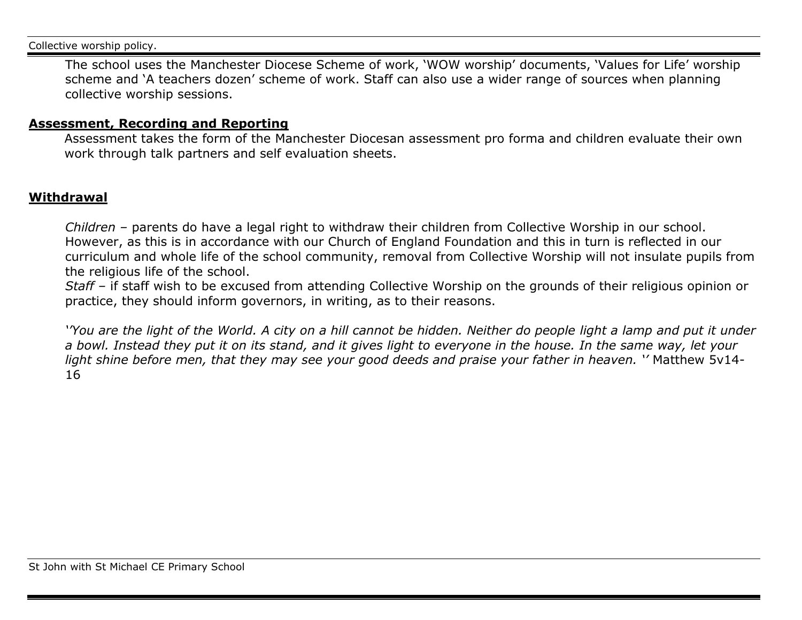Collective worship policy.

The school uses the Manchester Diocese Scheme of work, 'WOW worship' documents, 'Values for Life' worship scheme and 'A teachers dozen' scheme of work. Staff can also use a wider range of sources when planning collective worship sessions.

### **Assessment, Recording and Reporting**

Assessment takes the form of the Manchester Diocesan assessment pro forma and children evaluate their own work through talk partners and self evaluation sheets.

## **Withdrawal**

*Children –* parents do have a legal right to withdraw their children from Collective Worship in our school. However, as this is in accordance with our Church of England Foundation and this in turn is reflected in our curriculum and whole life of the school community, removal from Collective Worship will not insulate pupils from the religious life of the school.

*Staff –* if staff wish to be excused from attending Collective Worship on the grounds of their religious opinion or practice, they should inform governors, in writing, as to their reasons.

*'You are the light of the World. A city on a hill cannot be hidden. Neither do people light a lamp and put it under a bowl. Instead they put it on its stand, and it gives light to everyone in the house. In the same way, let your light shine before men, that they may see your good deeds and praise your father in heaven. ''* Matthew 5v14- 16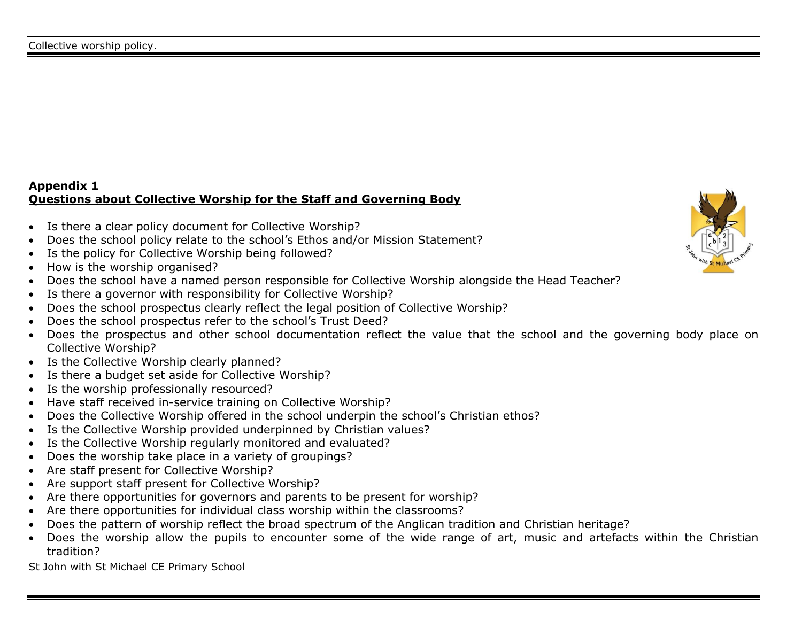## **Appendix 1 Questions about Collective Worship for the Staff and Governing Body**

- Is there a clear policy document for Collective Worship?
- Does the school policy relate to the school's Ethos and/or Mission Statement?
- Is the policy for Collective Worship being followed?
- How is the worship organised?
- Does the school have a named person responsible for Collective Worship alongside the Head Teacher?
- Is there a governor with responsibility for Collective Worship?
- Does the school prospectus clearly reflect the legal position of Collective Worship?
- Does the school prospectus refer to the school's Trust Deed?
- Does the prospectus and other school documentation reflect the value that the school and the governing body place on Collective Worship?
- Is the Collective Worship clearly planned?
- Is there a budget set aside for Collective Worship?
- Is the worship professionally resourced?
- Have staff received in-service training on Collective Worship?
- Does the Collective Worship offered in the school underpin the school's Christian ethos?
- Is the Collective Worship provided underpinned by Christian values?
- Is the Collective Worship regularly monitored and evaluated?
- Does the worship take place in a variety of groupings?
- Are staff present for Collective Worship?
- Are support staff present for Collective Worship?
- Are there opportunities for governors and parents to be present for worship?
- Are there opportunities for individual class worship within the classrooms?
- Does the pattern of worship reflect the broad spectrum of the Anglican tradition and Christian heritage?
- Does the worship allow the pupils to encounter some of the wide range of art, music and artefacts within the Christian tradition?

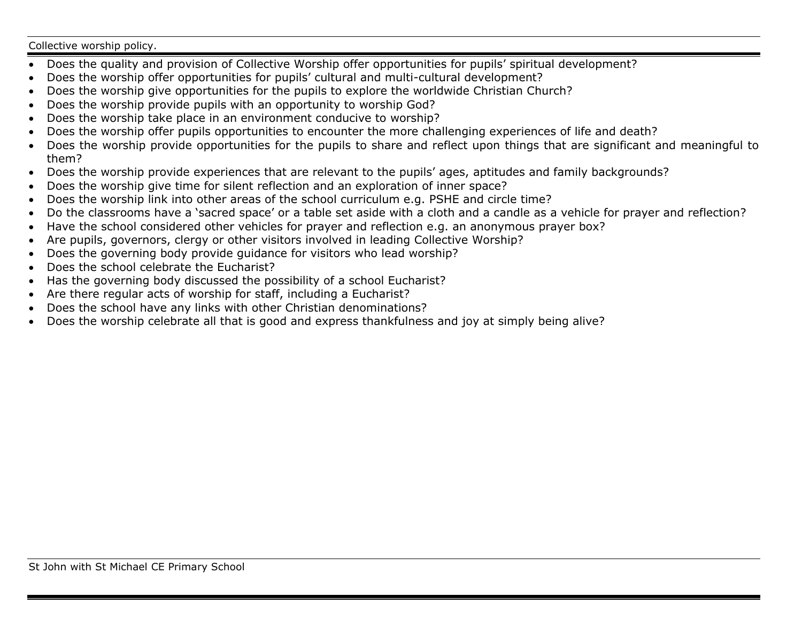#### Collective worship policy.

- Does the quality and provision of Collective Worship offer opportunities for pupils' spiritual development?
- Does the worship offer opportunities for pupils' cultural and multi-cultural development?
- Does the worship give opportunities for the pupils to explore the worldwide Christian Church?
- Does the worship provide pupils with an opportunity to worship God?
- Does the worship take place in an environment conducive to worship?
- Does the worship offer pupils opportunities to encounter the more challenging experiences of life and death?
- Does the worship provide opportunities for the pupils to share and reflect upon things that are significant and meaningful to them?
- Does the worship provide experiences that are relevant to the pupils' ages, aptitudes and family backgrounds?
- Does the worship give time for silent reflection and an exploration of inner space?
- Does the worship link into other areas of the school curriculum e.g. PSHE and circle time?
- Do the classrooms have a 'sacred space' or a table set aside with a cloth and a candle as a vehicle for prayer and reflection?
- Have the school considered other vehicles for prayer and reflection e.g. an anonymous prayer box?
- Are pupils, governors, clergy or other visitors involved in leading Collective Worship?
- Does the governing body provide guidance for visitors who lead worship?
- Does the school celebrate the Eucharist?
- Has the governing body discussed the possibility of a school Eucharist?
- Are there regular acts of worship for staff, including a Eucharist?
- Does the school have any links with other Christian denominations?
- Does the worship celebrate all that is good and express thankfulness and joy at simply being alive?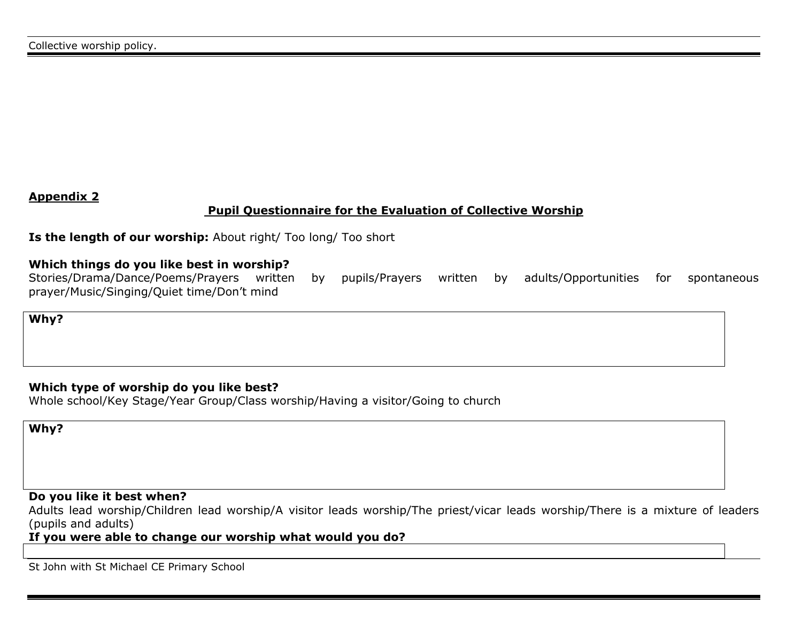### **Appendix 2**

### **Pupil Questionnaire for the Evaluation of Collective Worship**

**Is the length of our worship:** About right/ Too long/ Too short

#### **Which things do you like best in worship?**

Stories/Drama/Dance/Poems/Prayers written by pupils/Prayers written by adults/Opportunities for spontaneous prayer/Music/Singing/Quiet time/Don't mind

**Why?**

### **Which type of worship do you like best?**

Whole school/Key Stage/Year Group/Class worship/Having a visitor/Going to church

**Why?**

### **Do you like it best when?**

Adults lead worship/Children lead worship/A visitor leads worship/The priest/vicar leads worship/There is a mixture of leaders (pupils and adults)

#### **If you were able to change our worship what would you do?**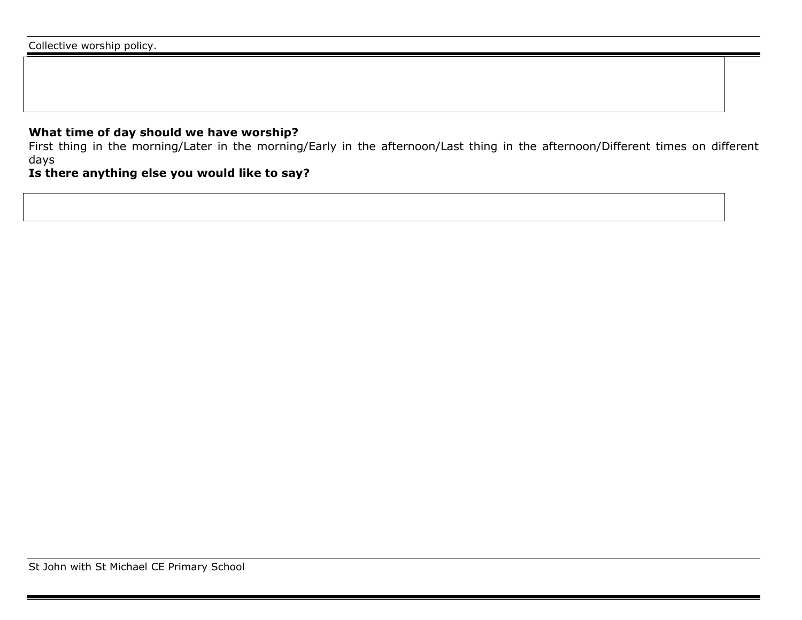### **What time of day should we have worship?**

First thing in the morning/Later in the morning/Early in the afternoon/Last thing in the afternoon/Different times on different days

### **Is there anything else you would like to say?**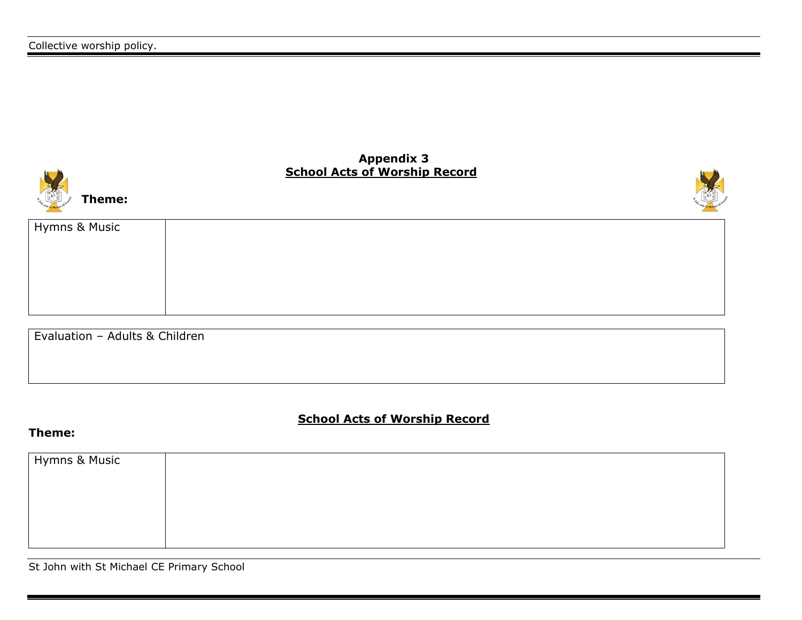





| Hymns & Music |  |  |
|---------------|--|--|
|               |  |  |
|               |  |  |
|               |  |  |
|               |  |  |
|               |  |  |

Evaluation – Adults & Children

**School Acts of Worship Record**

### **Theme:**

| Hymns & Music |  |
|---------------|--|
|               |  |
|               |  |
|               |  |
|               |  |